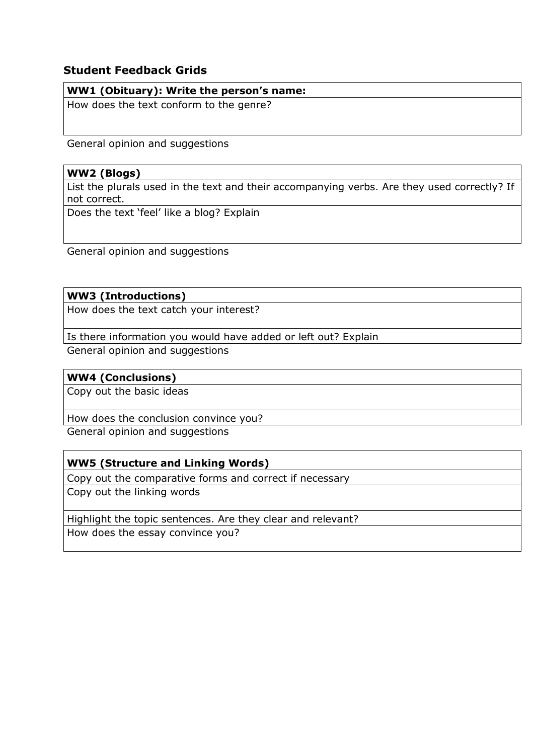# **Student Feedback Grids**

### **WW1 (Obituary): Write the person's name:**

How does the text conform to the genre?

General opinion and suggestions

# **WW2 (Blogs)**

List the plurals used in the text and their accompanying verbs. Are they used correctly? If not correct.

Does the text 'feel' like a blog? Explain

General opinion and suggestions

# **WW3 (Introductions)**

How does the text catch your interest?

Is there information you would have added or left out? Explain

General opinion and suggestions

# **WW4 (Conclusions)**

Copy out the basic ideas

How does the conclusion convince you?

General opinion and suggestions

# **WW5 (Structure and Linking Words)**

Copy out the comparative forms and correct if necessary

Copy out the linking words

Highlight the topic sentences. Are they clear and relevant? How does the essay convince you?